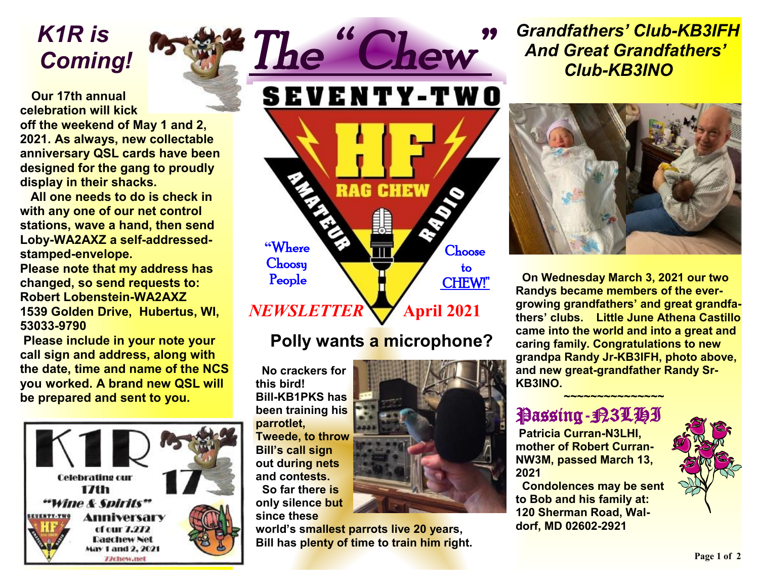*K1R is Coming!* 

 **Our 17th annual celebration will kick off the weekend of May 1 and 2, 2021. As always, new collectable anniversary QSL cards have been designed for the gang to proudly display in their shacks.** 

 **All one needs to do is check in with any one of our net control stations, wave a hand, then send Loby-WA2AXZ a self-addressedstamped-envelope.** 

**Please note that my address has changed, so send requests to: Robert Lobenstein-WA2AXZ 1539 Golden Drive, Hubertus, WI, 53033-9790** 

 **Please include in your note your call sign and address, along with the date, time and name of the NCS you worked. A brand new QSL will be prepared and sent to you.** 



**SEVENTY-TWO RAG CHEW "**Where **Choose Choosy**  to People CHEW!" *NEWSLETTER* **April** 2021

# **Polly wants a microphone?**

 **No crackers for this bird! Bill-KB1PKS has been training his parrotlet, Tweede, to throw Bill's call sign out during nets and contests. So far there is only silence but since these** 

**world's smallest parrots live 20 years, Bill has plenty of time to train him right.** 





 **On Wednesday March 3, 2021 our two Randys became members of the evergrowing grandfathers' and great grandfathers' clubs. Little June Athena Castillo came into the world and into a great and caring family. Congratulations to new grandpa Randy Jr-KB3IFH, photo above, and new great-grandfather Randy Sr-KB3INO.** 

## Passing-<del>P</del>3LHI

★<del><u>~~~~~~~~~~~~~~~~</u></del>

 **Patricia Curran-N3LHI, mother of Robert Curran-NW3M, passed March 13, 2021** 

 **Condolences may be sent to Bob and his family at: 120 Sherman Road, Waldorf, MD 02602-2921**